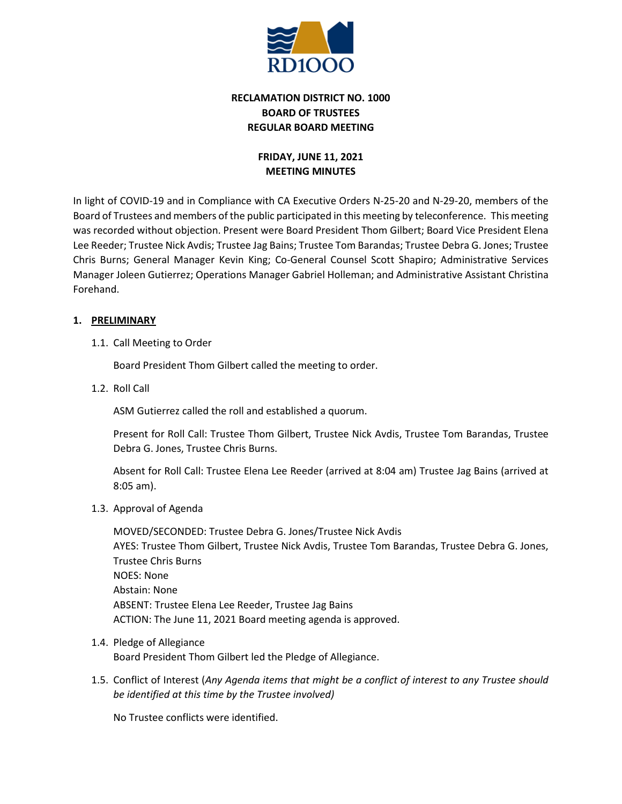

# **RECLAMATION DISTRICT NO. 1000 BOARD OF TRUSTEES REGULAR BOARD MEETING**

# **FRIDAY, JUNE 11, 2021 MEETING MINUTES**

In light of COVID-19 and in Compliance with CA Executive Orders N-25-20 and N-29-20, members of the Board of Trustees and members of the public participated in this meeting by teleconference. This meeting was recorded without objection. Present were Board President Thom Gilbert; Board Vice President Elena Lee Reeder; Trustee Nick Avdis; Trustee Jag Bains; Trustee Tom Barandas; Trustee Debra G. Jones; Trustee Chris Burns; General Manager Kevin King; Co-General Counsel Scott Shapiro; Administrative Services Manager Joleen Gutierrez; Operations Manager Gabriel Holleman; and Administrative Assistant Christina Forehand.

# **1. PRELIMINARY**

1.1. Call Meeting to Order

Board President Thom Gilbert called the meeting to order.

1.2. Roll Call

ASM Gutierrez called the roll and established a quorum.

Present for Roll Call: Trustee Thom Gilbert, Trustee Nick Avdis, Trustee Tom Barandas, Trustee Debra G. Jones, Trustee Chris Burns.

Absent for Roll Call: Trustee Elena Lee Reeder (arrived at 8:04 am) Trustee Jag Bains (arrived at 8:05 am).

1.3. Approval of Agenda

MOVED/SECONDED: Trustee Debra G. Jones/Trustee Nick Avdis AYES: Trustee Thom Gilbert, Trustee Nick Avdis, Trustee Tom Barandas, Trustee Debra G. Jones, Trustee Chris Burns NOES: None Abstain: None ABSENT: Trustee Elena Lee Reeder, Trustee Jag Bains ACTION: The June 11, 2021 Board meeting agenda is approved.

- 1.4. Pledge of Allegiance Board President Thom Gilbert led the Pledge of Allegiance.
- 1.5. Conflict of Interest (*Any Agenda items that might be a conflict of interest to any Trustee should be identified at this time by the Trustee involved)*

No Trustee conflicts were identified.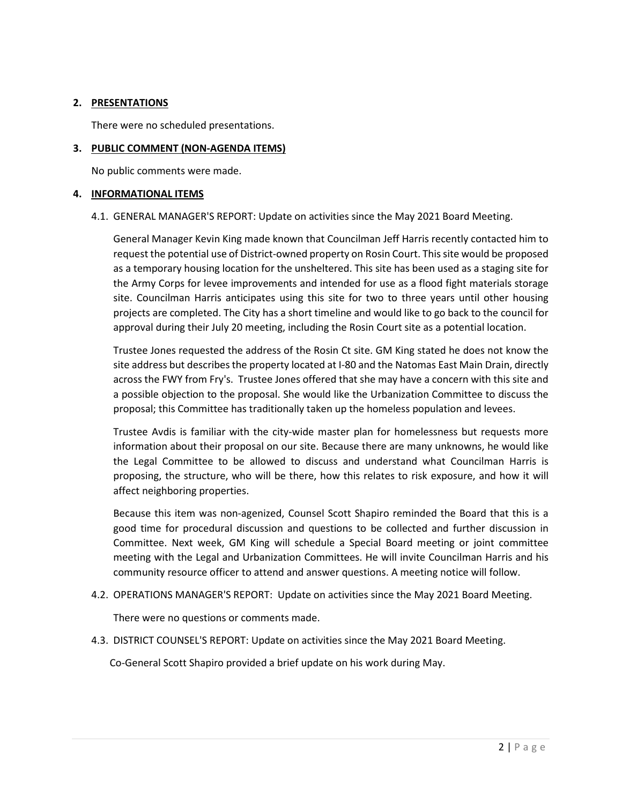## **2. PRESENTATIONS**

There were no scheduled presentations.

#### **3. PUBLIC COMMENT (NON-AGENDA ITEMS)**

No public comments were made.

#### **4. INFORMATIONAL ITEMS**

#### 4.1. GENERAL MANAGER'S REPORT: Update on activities since the May 2021 Board Meeting.

General Manager Kevin King made known that Councilman Jeff Harris recently contacted him to request the potential use of District-owned property on Rosin Court. This site would be proposed as a temporary housing location for the unsheltered. This site has been used as a staging site for the Army Corps for levee improvements and intended for use as a flood fight materials storage site. Councilman Harris anticipates using this site for two to three years until other housing projects are completed. The City has a short timeline and would like to go back to the council for approval during their July 20 meeting, including the Rosin Court site as a potential location.

Trustee Jones requested the address of the Rosin Ct site. GM King stated he does not know the site address but describes the property located at I-80 and the Natomas East Main Drain, directly across the FWY from Fry's. Trustee Jones offered that she may have a concern with this site and a possible objection to the proposal. She would like the Urbanization Committee to discuss the proposal; this Committee has traditionally taken up the homeless population and levees.

Trustee Avdis is familiar with the city-wide master plan for homelessness but requests more information about their proposal on our site. Because there are many unknowns, he would like the Legal Committee to be allowed to discuss and understand what Councilman Harris is proposing, the structure, who will be there, how this relates to risk exposure, and how it will affect neighboring properties.

Because this item was non-agenized, Counsel Scott Shapiro reminded the Board that this is a good time for procedural discussion and questions to be collected and further discussion in Committee. Next week, GM King will schedule a Special Board meeting or joint committee meeting with the Legal and Urbanization Committees. He will invite Councilman Harris and his community resource officer to attend and answer questions. A meeting notice will follow.

4.2. OPERATIONS MANAGER'S REPORT: Update on activities since the May 2021 Board Meeting.

There were no questions or comments made.

4.3. DISTRICT COUNSEL'S REPORT: Update on activities since the May 2021 Board Meeting.

Co-General Scott Shapiro provided a brief update on his work during May.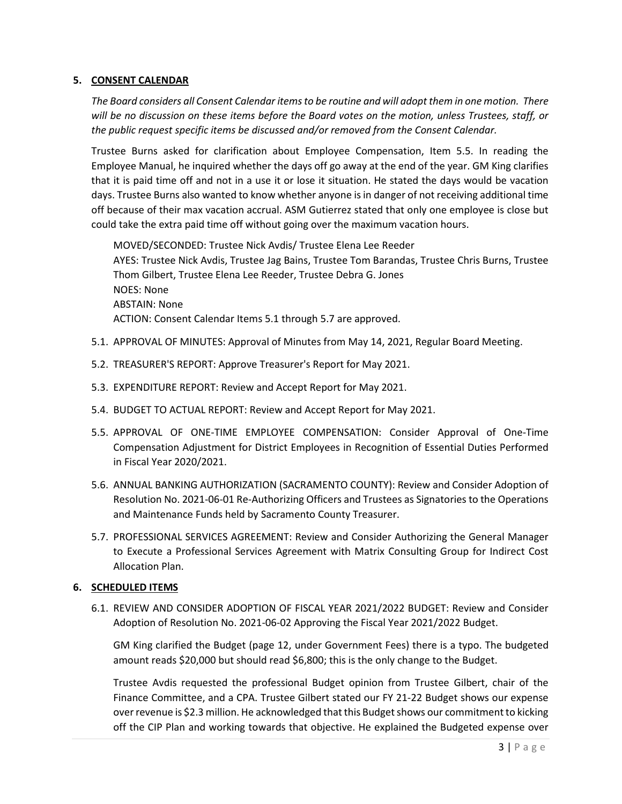## **5. CONSENT CALENDAR**

*The Board considers all Consent Calendar items to be routine and will adopt them in one motion. There will be no discussion on these items before the Board votes on the motion, unless Trustees, staff, or the public request specific items be discussed and/or removed from the Consent Calendar.*

Trustee Burns asked for clarification about Employee Compensation, Item 5.5. In reading the Employee Manual, he inquired whether the days off go away at the end of the year. GM King clarifies that it is paid time off and not in a use it or lose it situation. He stated the days would be vacation days. Trustee Burns also wanted to know whether anyone is in danger of not receiving additional time off because of their max vacation accrual. ASM Gutierrez stated that only one employee is close but could take the extra paid time off without going over the maximum vacation hours.

MOVED/SECONDED: Trustee Nick Avdis/ Trustee Elena Lee Reeder AYES: Trustee Nick Avdis, Trustee Jag Bains, Trustee Tom Barandas, Trustee Chris Burns, Trustee Thom Gilbert, Trustee Elena Lee Reeder, Trustee Debra G. Jones NOES: None ABSTAIN: None ACTION: Consent Calendar Items 5.1 through 5.7 are approved.

- 5.1. APPROVAL OF MINUTES: Approval of Minutes from May 14, 2021, Regular Board Meeting.
- 5.2. TREASURER'S REPORT: Approve Treasurer's Report for May 2021.
- 5.3. EXPENDITURE REPORT: Review and Accept Report for May 2021.
- 5.4. BUDGET TO ACTUAL REPORT: Review and Accept Report for May 2021.
- 5.5. APPROVAL OF ONE-TIME EMPLOYEE COMPENSATION: Consider Approval of One-Time Compensation Adjustment for District Employees in Recognition of Essential Duties Performed in Fiscal Year 2020/2021.
- 5.6. ANNUAL BANKING AUTHORIZATION (SACRAMENTO COUNTY): Review and Consider Adoption of Resolution No. 2021-06-01 Re-Authorizing Officers and Trustees as Signatories to the Operations and Maintenance Funds held by Sacramento County Treasurer.
- 5.7. PROFESSIONAL SERVICES AGREEMENT: Review and Consider Authorizing the General Manager to Execute a Professional Services Agreement with Matrix Consulting Group for Indirect Cost Allocation Plan.

## **6. SCHEDULED ITEMS**

6.1. REVIEW AND CONSIDER ADOPTION OF FISCAL YEAR 2021/2022 BUDGET: Review and Consider Adoption of Resolution No. 2021-06-02 Approving the Fiscal Year 2021/2022 Budget.

GM King clarified the Budget (page 12, under Government Fees) there is a typo. The budgeted amount reads \$20,000 but should read \$6,800; this is the only change to the Budget.

Trustee Avdis requested the professional Budget opinion from Trustee Gilbert, chair of the Finance Committee, and a CPA. Trustee Gilbert stated our FY 21-22 Budget shows our expense over revenue is \$2.3 million. He acknowledged that this Budget shows our commitment to kicking off the CIP Plan and working towards that objective. He explained the Budgeted expense over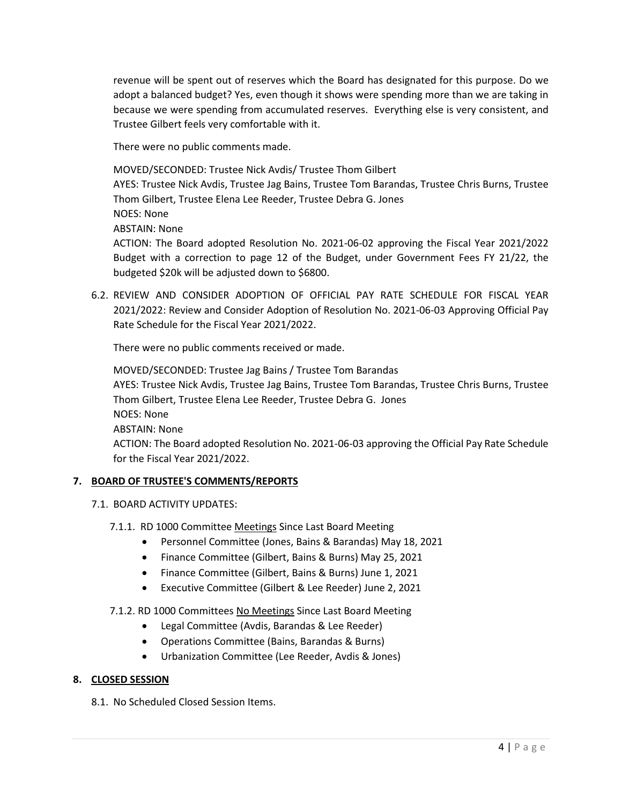revenue will be spent out of reserves which the Board has designated for this purpose. Do we adopt a balanced budget? Yes, even though it shows were spending more than we are taking in because we were spending from accumulated reserves. Everything else is very consistent, and Trustee Gilbert feels very comfortable with it.

There were no public comments made.

MOVED/SECONDED: Trustee Nick Avdis/ Trustee Thom Gilbert

AYES: Trustee Nick Avdis, Trustee Jag Bains, Trustee Tom Barandas, Trustee Chris Burns, Trustee Thom Gilbert, Trustee Elena Lee Reeder, Trustee Debra G. Jones

NOES: None

ABSTAIN: None

ACTION: The Board adopted Resolution No. 2021-06-02 approving the Fiscal Year 2021/2022 Budget with a correction to page 12 of the Budget, under Government Fees FY 21/22, the budgeted \$20k will be adjusted down to \$6800.

6.2. REVIEW AND CONSIDER ADOPTION OF OFFICIAL PAY RATE SCHEDULE FOR FISCAL YEAR 2021/2022: Review and Consider Adoption of Resolution No. 2021-06-03 Approving Official Pay Rate Schedule for the Fiscal Year 2021/2022.

There were no public comments received or made.

MOVED/SECONDED: Trustee Jag Bains / Trustee Tom Barandas AYES: Trustee Nick Avdis, Trustee Jag Bains, Trustee Tom Barandas, Trustee Chris Burns, Trustee Thom Gilbert, Trustee Elena Lee Reeder, Trustee Debra G. Jones NOES: None ABSTAIN: None ACTION: The Board adopted Resolution No. 2021-06-03 approving the Official Pay Rate Schedule for the Fiscal Year 2021/2022.

## **7. BOARD OF TRUSTEE'S COMMENTS/REPORTS**

- 7.1. BOARD ACTIVITY UPDATES:
	- 7.1.1. RD 1000 Committee Meetings Since Last Board Meeting
		- Personnel Committee (Jones, Bains & Barandas) May 18, 2021
		- Finance Committee (Gilbert, Bains & Burns) May 25, 2021
		- Finance Committee (Gilbert, Bains & Burns) June 1, 2021
		- Executive Committee (Gilbert & Lee Reeder) June 2, 2021

## 7.1.2. RD 1000 Committees No Meetings Since Last Board Meeting

- Legal Committee (Avdis, Barandas & Lee Reeder)
- Operations Committee (Bains, Barandas & Burns)
- Urbanization Committee (Lee Reeder, Avdis & Jones)

#### **8. CLOSED SESSION**

8.1. No Scheduled Closed Session Items.